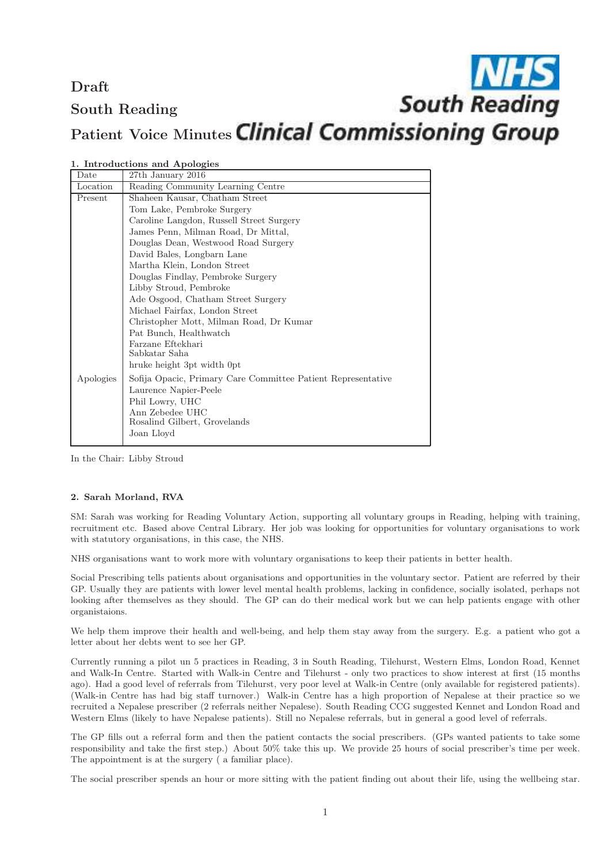**NHS**<br>South Reading Draft South Reading Patient Voice Minutes Clinical Commissioning Group

| Date      | 27th January 2016                                            |
|-----------|--------------------------------------------------------------|
| Location  | Reading Community Learning Centre                            |
| Present   | Shaheen Kausar, Chatham Street                               |
|           | Tom Lake, Pembroke Surgery                                   |
|           | Caroline Langdon, Russell Street Surgery                     |
|           | James Penn, Milman Road, Dr Mittal,                          |
|           | Douglas Dean, Westwood Road Surgery                          |
|           | David Bales, Longbarn Lane                                   |
|           | Martha Klein, London Street                                  |
|           | Douglas Findlay, Pembroke Surgery                            |
|           | Libby Stroud, Pembroke                                       |
|           | Ade Osgood, Chatham Street Surgery                           |
|           | Michael Fairfax, London Street                               |
|           | Christopher Mott, Milman Road, Dr Kumar                      |
|           | Pat Bunch, Healthwatch                                       |
|           | Farzane Eftekhari                                            |
|           | Sabkatar Saha                                                |
|           | hruke height 3pt width 0pt                                   |
| Apologies | Sofija Opacic, Primary Care Committee Patient Representative |
|           | Laurence Napier-Peele                                        |
|           | Phil Lowry, UHC                                              |
|           | Ann Zebedee UHC                                              |
|           | Rosalind Gilbert, Grovelands                                 |
|           | Joan Lloyd                                                   |
|           |                                                              |

1. Introductions and Apologies

In the Chair: Libby Stroud

# 2. Sarah Morland, RVA

SM: Sarah was working for Reading Voluntary Action, supporting all voluntary groups in Reading, helping with training, recruitment etc. Based above Central Library. Her job was looking for opportunities for voluntary organisations to work with statutory organisations, in this case, the NHS.

NHS organisations want to work more with voluntary organisations to keep their patients in better health.

Social Prescribing tells patients about organisations and opportunities in the voluntary sector. Patient are referred by their GP. Usually they are patients with lower level mental health problems, lacking in confidence, socially isolated, perhaps not looking after themselves as they should. The GP can do their medical work but we can help patients engage with other organistaions.

We help them improve their health and well-being, and help them stay away from the surgery. E.g. a patient who got a letter about her debts went to see her GP.

Currently running a pilot un 5 practices in Reading, 3 in South Reading, Tilehurst, Western Elms, London Road, Kennet and Walk-In Centre. Started with Walk-in Centre and Tilehurst - only two practices to show interest at first (15 months ago). Had a good level of referrals from Tilehurst, very poor level at Walk-in Centre (only available for registered patients). (Walk-in Centre has had big staff turnover.) Walk-in Centre has a high proportion of Nepalese at their practice so we recruited a Nepalese prescriber (2 referrals neither Nepalese). South Reading CCG suggested Kennet and London Road and Western Elms (likely to have Nepalese patients). Still no Nepalese referrals, but in general a good level of referrals.

The GP fills out a referral form and then the patient contacts the social prescribers. (GPs wanted patients to take some responsibility and take the first step.) About 50% take this up. We provide 25 hours of social prescriber's time per week. The appointment is at the surgery ( a familiar place).

The social prescriber spends an hour or more sitting with the patient finding out about their life, using the wellbeing star.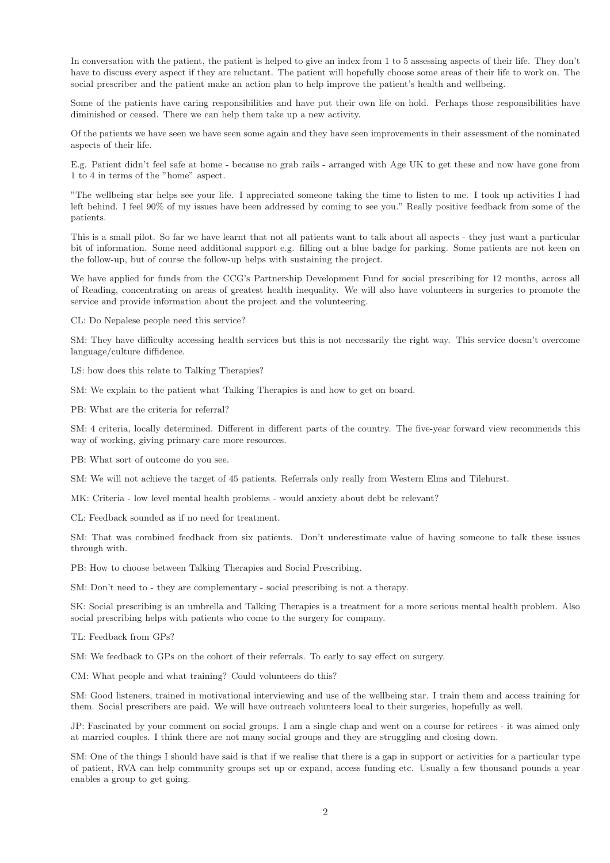In conversation with the patient, the patient is helped to give an index from 1 to 5 assessing aspects of their life. They don't have to discuss every aspect if they are reluctant. The patient will hopefully choose some areas of their life to work on. The social prescriber and the patient make an action plan to help improve the patient's health and wellbeing.

Some of the patients have caring responsibilities and have put their own life on hold. Perhaps those responsibilities have diminished or ceased. There we can help them take up a new activity.

Of the patients we have seen we have seen some again and they have seen improvements in their assessment of the nominated aspects of their life.

E.g. Patient didn't feel safe at home - because no grab rails - arranged with Age UK to get these and now have gone from 1 to 4 in terms of the "home" aspect.

"The wellbeing star helps see your life. I appreciated someone taking the time to listen to me. I took up activities I had left behind. I feel 90% of my issues have been addressed by coming to see you." Really positive feedback from some of the patients.

This is a small pilot. So far we have learnt that not all patients want to talk about all aspects - they just want a particular bit of information. Some need additional support e.g. filling out a blue badge for parking. Some patients are not keen on the follow-up, but of course the follow-up helps with sustaining the project.

We have applied for funds from the CCG's Partnership Development Fund for social prescribing for 12 months, across all of Reading, concentrating on areas of greatest health inequality. We will also have volunteers in surgeries to promote the service and provide information about the project and the volunteering.

CL: Do Nepalese people need this service?

SM: They have difficulty accessing health services but this is not necessarily the right way. This service doesn't overcome language/culture diffidence.

LS: how does this relate to Talking Therapies?

SM: We explain to the patient what Talking Therapies is and how to get on board.

PB: What are the criteria for referral?

SM: 4 criteria, locally determined. Different in different parts of the country. The five-year forward view recommends this way of working, giving primary care more resources.

PB: What sort of outcome do you see.

SM: We will not achieve the target of 45 patients. Referrals only really from Western Elms and Tilehurst.

MK: Criteria - low level mental health problems - would anxiety about debt be relevant?

CL: Feedback sounded as if no need for treatment.

SM: That was combined feedback from six patients. Don't underestimate value of having someone to talk these issues through with.

PB: How to choose between Talking Therapies and Social Prescribing.

SM: Don't need to - they are complementary - social prescribing is not a therapy.

SK: Social prescribing is an umbrella and Talking Therapies is a treatment for a more serious mental health problem. Also social prescribing helps with patients who come to the surgery for company.

TL: Feedback from GPs?

SM: We feedback to GPs on the cohort of their referrals. To early to say effect on surgery.

CM: What people and what training? Could volunteers do this?

SM: Good listeners, trained in motivational interviewing and use of the wellbeing star. I train them and access training for them. Social prescribers are paid. We will have outreach volunteers local to their surgeries, hopefully as well.

JP: Fascinated by your comment on social groups. I am a single chap and went on a course for retirees - it was aimed only at married couples. I think there are not many social groups and they are struggling and closing down.

SM: One of the things I should have said is that if we realise that there is a gap in support or activities for a particular type of patient, RVA can help community groups set up or expand, access funding etc. Usually a few thousand pounds a year enables a group to get going.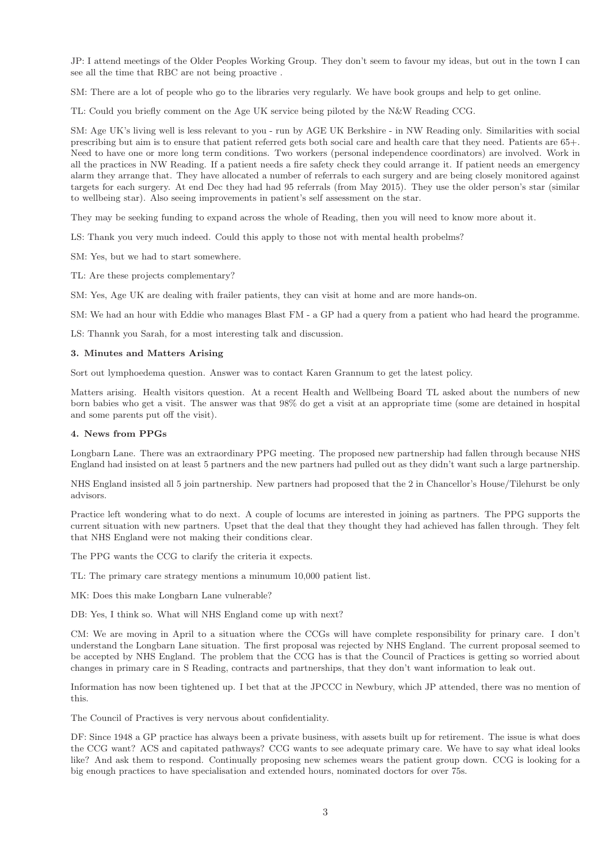JP: I attend meetings of the Older Peoples Working Group. They don't seem to favour my ideas, but out in the town I can see all the time that RBC are not being proactive .

SM: There are a lot of people who go to the libraries very regularly. We have book groups and help to get online.

TL: Could you briefly comment on the Age UK service being piloted by the N&W Reading CCG.

SM: Age UK's living well is less relevant to you - run by AGE UK Berkshire - in NW Reading only. Similarities with social prescribing but aim is to ensure that patient referred gets both social care and health care that they need. Patients are 65+. Need to have one or more long term conditions. Two workers (personal independence coordinators) are involved. Work in all the practices in NW Reading. If a patient needs a fire safety check they could arrange it. If patient needs an emergency alarm they arrange that. They have allocated a number of referrals to each surgery and are being closely monitored against targets for each surgery. At end Dec they had had 95 referrals (from May 2015). They use the older person's star (similar to wellbeing star). Also seeing improvements in patient's self assessment on the star.

They may be seeking funding to expand across the whole of Reading, then you will need to know more about it.

LS: Thank you very much indeed. Could this apply to those not with mental health probelms?

SM: Yes, but we had to start somewhere.

TL: Are these projects complementary?

SM: Yes, Age UK are dealing with frailer patients, they can visit at home and are more hands-on.

SM: We had an hour with Eddie who manages Blast FM - a GP had a query from a patient who had heard the programme.

LS: Thannk you Sarah, for a most interesting talk and discussion.

# 3. Minutes and Matters Arising

Sort out lymphoedema question. Answer was to contact Karen Grannum to get the latest policy.

Matters arising. Health visitors question. At a recent Health and Wellbeing Board TL asked about the numbers of new born babies who get a visit. The answer was that 98% do get a visit at an appropriate time (some are detained in hospital and some parents put off the visit).

## 4. News from PPGs

Longbarn Lane. There was an extraordinary PPG meeting. The proposed new partnership had fallen through because NHS England had insisted on at least 5 partners and the new partners had pulled out as they didn't want such a large partnership.

NHS England insisted all 5 join partnership. New partners had proposed that the 2 in Chancellor's House/Tilehurst be only advisors.

Practice left wondering what to do next. A couple of locums are interested in joining as partners. The PPG supports the current situation with new partners. Upset that the deal that they thought they had achieved has fallen through. They felt that NHS England were not making their conditions clear.

The PPG wants the CCG to clarify the criteria it expects.

TL: The primary care strategy mentions a minumum 10,000 patient list.

MK: Does this make Longbarn Lane vulnerable?

DB: Yes, I think so. What will NHS England come up with next?

CM: We are moving in April to a situation where the CCGs will have complete responsibility for prinary care. I don't understand the Longbarn Lane situation. The first proposal was rejected by NHS England. The current proposal seemed to be accepted by NHS England. The problem that the CCG has is that the Council of Practices is getting so worried about changes in primary care in S Reading, contracts and partnerships, that they don't want information to leak out.

Information has now been tightened up. I bet that at the JPCCC in Newbury, which JP attended, there was no mention of this.

The Council of Practives is very nervous about confidentiality.

DF: Since 1948 a GP practice has always been a private business, with assets built up for retirement. The issue is what does the CCG want? ACS and capitated pathways? CCG wants to see adequate primary care. We have to say what ideal looks like? And ask them to respond. Continually proposing new schemes wears the patient group down. CCG is looking for a big enough practices to have specialisation and extended hours, nominated doctors for over 75s.